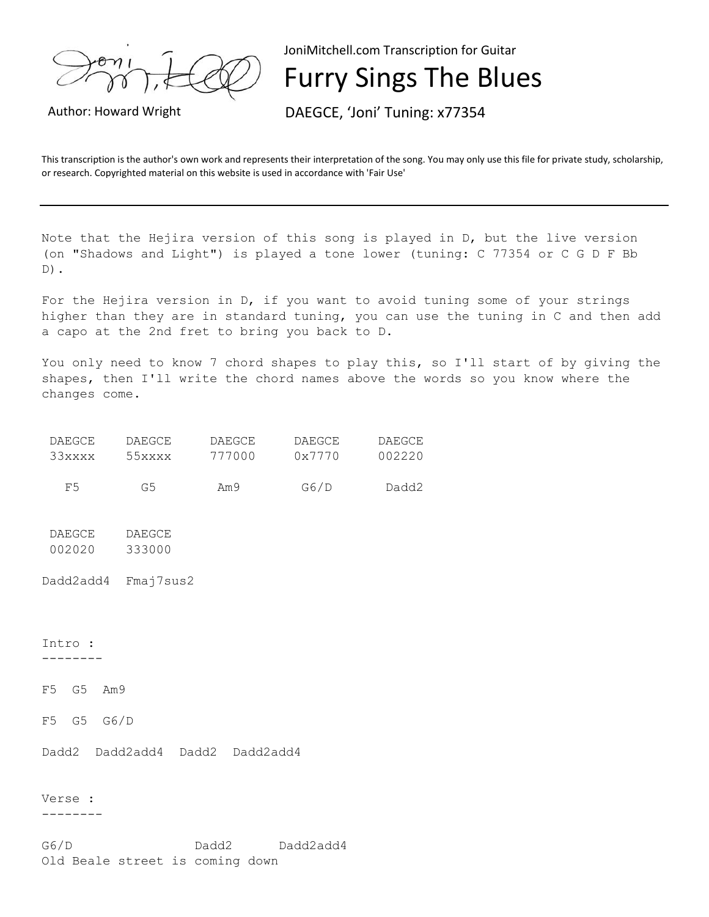

JoniMitchell.com Transcription for Guitar

Furry Sings The Blues

Author: Howard Wright DAEGCE, 'Joni' Tuning: x77354

This transcription is the author's own work and represents their interpretation of the song. You may only use this file for private study, scholarship, or research. Copyrighted material on this website is used in accordance with 'Fair Use'

Note that the Hejira version of this song is played in D, but the live version (on "Shadows and Light") is played a tone lower (tuning: C 77354 or C G D F Bb  $D)$ .

For the Hejira version in D, if you want to avoid tuning some of your strings higher than they are in standard tuning, you can use the tuning in C and then add a capo at the 2nd fret to bring you back to D.

You only need to know 7 chord shapes to play this, so I'll start of by giving the shapes, then I'll write the chord names above the words so you know where the changes come.

| DAEGCE | DAEGCE | DAEGCE | DAEGCE | DAEGCE |
|--------|--------|--------|--------|--------|
| 33xxxx | 55xxx  | 777000 | 0x7770 | 002220 |
|        |        |        |        |        |
| 모님     | G5     | Am9    | G6/D   | Dadd2  |

DAEGCE DAEGCE 002020 333000

Dadd2add4 Fmaj7sus2

Intro : --------

F5 G5 Am9

F5 G5 G6/D

Dadd2 Dadd2add4 Dadd2 Dadd2add4

Verse :

--------

G6/D Dadd2 Dadd2add4 Old Beale street is coming down